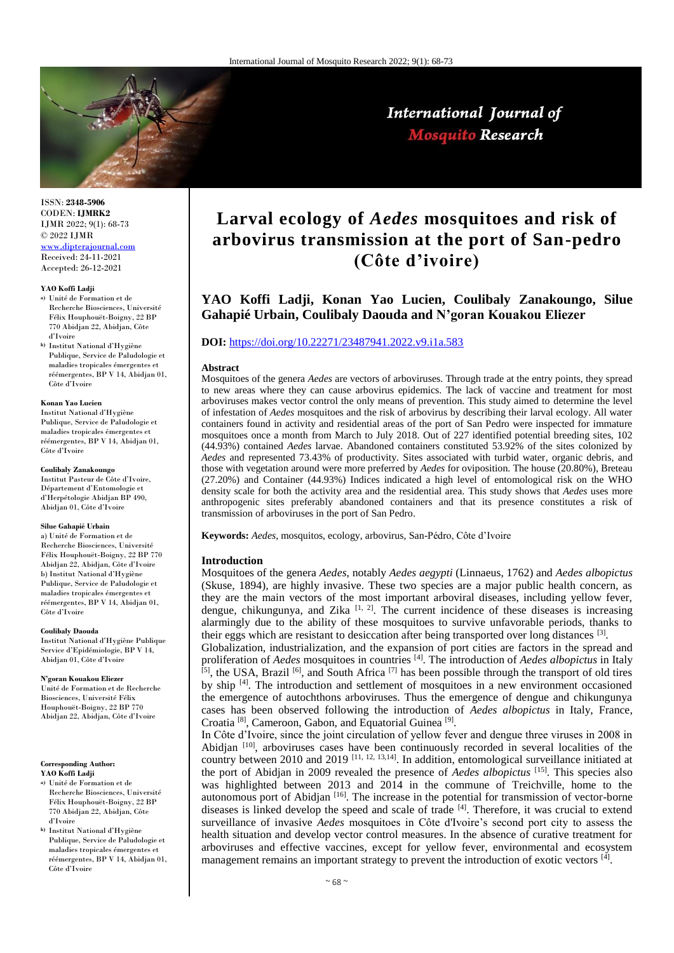

International Journal of **Mosquito Research** 

ISSN: **2348-5906** CODEN: **IJMRK2** IJMR 2022; 9(1): 68-73 © 2022 IJMR [www.dipterajournal.com](file://server/d/Mosquito/Issue/8%20Volume/www.dipterajournal.com)

Received: 24-11-2021 Accepted: 26-12-2021

#### **YAO Koffi Ladji**

- **a)** Unité de Formation et de Recherche Biosciences, Université Félix Houphouët-Boigny, 22 BP 770 Abidjan 22, Abidjan, Côte d'Ivoire
- **b)** Institut National d'Hygiène Publique, Service de Paludologie et maladies tropicales émergentes et réémergentes, BP V 14, Abidjan 01, Côte d'Ivoire

#### **Konan Yao Lucien**

Institut National d'Hygiène Publique, Service de Paludologie et maladies tropicales émergentes et réémergentes, BP V 14, Abidjan 01, Côte d'Ivoire

#### **Coulibaly Zanakoungo**

Institut Pasteur de Côte d'Ivoire, Département d'Entomologie et d'Herpétologie Abidjan BP 490, Abidjan 01, Côte d'Ivoire

#### **Silue Gahapié Urbain**

a) Unité de Formation et de Recherche Biosciences, Université Félix Houphouët-Boigny, 22 BP 770 Abidjan 22, Abidjan, Côte d'Ivoire b) Institut National d'Hygiène Publique, Service de Paludologie et maladies tropicales émergentes et réémergentes, BP V 14, Abidjan 01, Côte d'Ivoire

#### **Coulibaly Daouda**

Institut National d'Hygiène Publique Service d'Epidémiologie, BP V 14, Abidjan 01, Côte d'Ivoire

#### **N'goran Kouakou Eliezer**

Unité de Formation et de Recherche Biosciences, Université Félix Houphouët-Boigny, 22 BP 770 Abidjan 22, Abidjan, Côte d'Ivoire

**Corresponding Author:**

**YAO Koffi Ladji**

- **a)** Unité de Formation et de Recherche Biosciences, Université Félix Houphouët-Boigny, 22 BP 770 Abidjan 22, Abidjan, Côte d'Ivoire
- **b)** Institut National d'Hygiène Publique, Service de Paludologie et maladies tropicales émergentes et réémergentes, BP V 14, Abidjan 01, Côte d'Ivoire

# **Larval ecology of** *Aedes* **mosquitoes and risk of arbovirus transmission at the port of San-pedro (Côte d'ivoire)**

# **YAO Koffi Ladji, Konan Yao Lucien, Coulibaly Zanakoungo, Silue Gahapié Urbain, Coulibaly Daouda and N'goran Kouakou Eliezer**

# **DOI:** <https://doi.org/10.22271/23487941.2022.v9.i1a.583>

#### **Abstract**

Mosquitoes of the genera *Aedes* are vectors of arboviruses. Through trade at the entry points, they spread to new areas where they can cause arbovirus epidemics. The lack of vaccine and treatment for most arboviruses makes vector control the only means of prevention. This study aimed to determine the level of infestation of *Aedes* mosquitoes and the risk of arbovirus by describing their larval ecology. All water containers found in activity and residential areas of the port of San Pedro were inspected for immature mosquitoes once a month from March to July 2018. Out of 227 identified potential breeding sites, 102 (44.93%) contained *Aedes* larvae. Abandoned containers constituted 53.92% of the sites colonized by *Aedes* and represented 73.43% of productivity. Sites associated with turbid water, organic debris, and those with vegetation around were more preferred by *Aedes* for oviposition. The house (20.80%), Breteau (27.20%) and Container (44.93%) Indices indicated a high level of entomological risk on the WHO density scale for both the activity area and the residential area. This study shows that *Aedes* uses more anthropogenic sites preferably abandoned containers and that its presence constitutes a risk of transmission of arboviruses in the port of San Pedro.

**Keywords:** *Aedes*, mosquitos, ecology, arbovirus, San-Pédro, Côte d'Ivoire

#### **Introduction**

Mosquitoes of the genera *Aedes*, notably *Aedes aegypti* (Linnaeus, 1762) and *Aedes albopictus* (Skuse, 1894), are highly invasive. These two species are a major public health concern, as they are the main vectors of the most important arboviral diseases, including yellow fever, dengue, chikungunya, and Zika  $\left[1, 2\right]$ . The current incidence of these diseases is increasing alarmingly due to the ability of these mosquitoes to survive unfavorable periods, thanks to their eggs which are resistant to desiccation after being transported over long distances  $[3]$ .

Globalization, industrialization, and the expansion of port cities are factors in the spread and proliferation of *Aedes* mosquitoes in countries [4]. The introduction of *Aedes albopictus* in Italy  $^{[5]}$ , the USA, Brazil <sup>[6]</sup>, and South Africa <sup>[7]</sup> has been possible through the transport of old tires by ship [4]. The introduction and settlement of mosquitoes in a new environment occasioned the emergence of autochthons arboviruses. Thus the emergence of dengue and chikungunya cases has been observed following the introduction of *Aedes albopictus* in Italy, France, Croatia<sup>[8]</sup>, Cameroon, Gabon, and Equatorial Guinea<sup>[9]</sup>.

In Côte d'Ivoire, since the joint circulation of yellow fever and dengue three viruses in 2008 in Abidjan  $[10]$ , arboviruses cases have been continuously recorded in several localities of the country between 2010 and 2019  $^{[11, 12, 13, 14]}$ . In addition, entomological surveillance initiated at the port of Abidjan in 2009 revealed the presence of *Aedes albopictus* [15]. This species also was highlighted between 2013 and 2014 in the commune of Treichville, home to the autonomous port of Abidjan <sup>[16]</sup>. The increase in the potential for transmission of vector-borne diseases is linked develop the speed and scale of trade [4]. Therefore, it was crucial to extend surveillance of invasive *Aedes* mosquitoes in Côte d'Ivoire's second port city to assess the health situation and develop vector control measures. In the absence of curative treatment for arboviruses and effective vaccines, except for yellow fever, environmental and ecosystem management remains an important strategy to prevent the introduction of exotic vectors  $^{[4]}$ .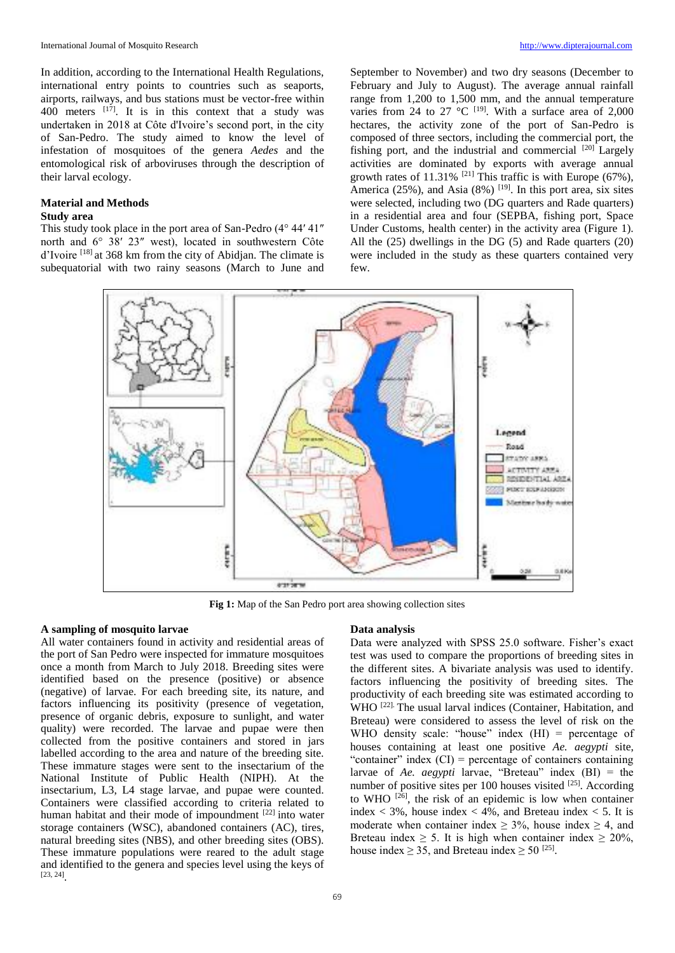In addition, according to the International Health Regulations, international entry points to countries such as seaports, airports, railways, and bus stations must be vector-free within 400 meters  $[17]$ . It is in this context that a study was undertaken in 2018 at Côte d'Ivoire's second port, in the city of San-Pedro. The study aimed to know the level of infestation of mosquitoes of the genera *Aedes* and the entomological risk of arboviruses through the description of their larval ecology.

### **Material and Methods Study area**

This study took place in the port area of San-Pedro (4° 44′ 41″ north and 6° 38′ 23″ west), located in southwestern Côte d'Ivoire [18] at 368 km from the city of Abidjan. The climate is subequatorial with two rainy seasons (March to June and September to November) and two dry seasons (December to February and July to August). The average annual rainfall range from 1,200 to 1,500 mm, and the annual temperature varies from 24 to 27 °C  $^{[19]}$ . With a surface area of 2,000 hectares, the activity zone of the port of San-Pedro is composed of three sectors, including the commercial port, the fishing port, and the industrial and commercial  $[20]$  Largely activities are dominated by exports with average annual growth rates of 11.31% <sup>[21]</sup> This traffic is with Europe (67%), America (25%), and Asia (8%)  $^{[19]}$ . In this port area, six sites were selected, including two (DG quarters and Rade quarters) in a residential area and four (SEPBA, fishing port, Space Under Customs, health center) in the activity area (Figure 1). All the (25) dwellings in the DG (5) and Rade quarters (20) were included in the study as these quarters contained very few.



**Fig 1:** Map of the San Pedro port area showing collection sites

# **A sampling of mosquito larvae**

All water containers found in activity and residential areas of the port of San Pedro were inspected for immature mosquitoes once a month from March to July 2018. Breeding sites were identified based on the presence (positive) or absence (negative) of larvae. For each breeding site, its nature, and factors influencing its positivity (presence of vegetation, presence of organic debris, exposure to sunlight, and water quality) were recorded. The larvae and pupae were then collected from the positive containers and stored in jars labelled according to the area and nature of the breeding site. These immature stages were sent to the insectarium of the National Institute of Public Health (NIPH). At the insectarium, L3, L4 stage larvae, and pupae were counted. Containers were classified according to criteria related to human habitat and their mode of impoundment [22] into water storage containers (WSC), abandoned containers (AC), tires, natural breeding sites (NBS), and other breeding sites (OBS). These immature populations were reared to the adult stage and identified to the genera and species level using the keys of [23, 24] .

#### **Data analysis**

Data were analyzed with SPSS 25.0 software. Fisher's exact test was used to compare the proportions of breeding sites in the different sites. A bivariate analysis was used to identify. factors influencing the positivity of breeding sites. The productivity of each breeding site was estimated according to WHO<sup>[22]</sup> The usual larval indices (Container, Habitation, and Breteau) were considered to assess the level of risk on the WHO density scale: "house" index  $(HI)$  = percentage of houses containing at least one positive *Ae. aegypti* site, "container" index  $(CI)$  = percentage of containers containing larvae of *Ae. aegypti* larvae, "Breteau" index (BI) = the number of positive sites per 100 houses visited  $^{[25]}$ . According to WHO  $^{[26]}$ , the risk of an epidemic is low when container index  $\langle 3\% \rangle$ , house index  $\langle 4\% \rangle$ , and Breteau index  $\langle 5 \rangle$ . It is moderate when container index  $\geq$  3%, house index  $\geq$  4, and Breteau index  $\geq$  5. It is high when container index  $\geq$  20%, house index  $\geq 35$ , and Breteau index  $\geq 50^{[25]}$ .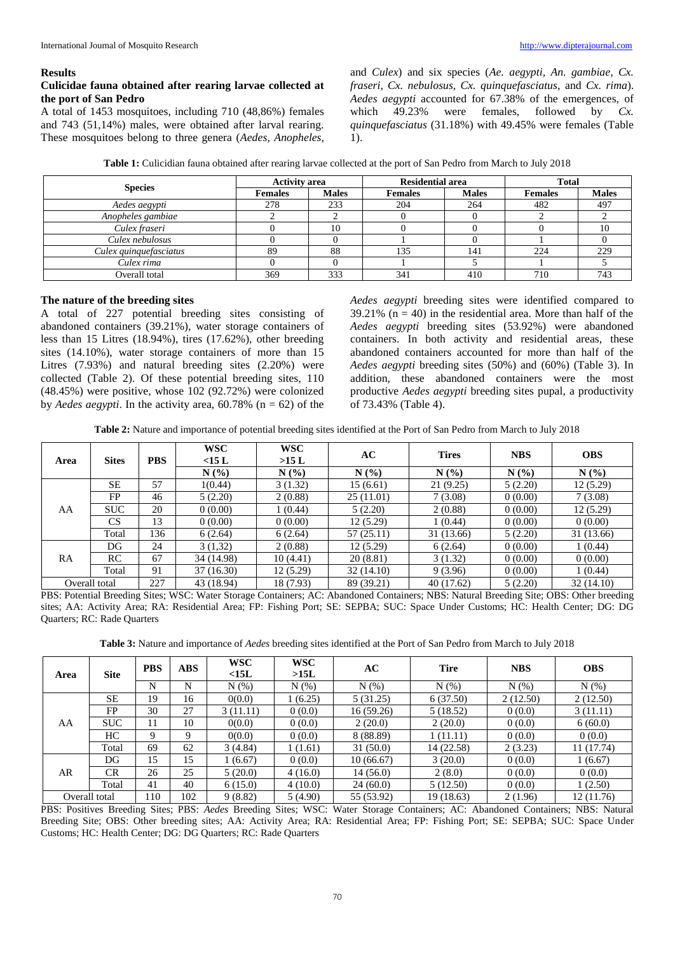#### **Results**

# **Culicidae fauna obtained after rearing larvae collected at the port of San Pedro**

A total of 1453 mosquitoes, including 710 (48,86%) females and 743 (51,14%) males, were obtained after larval rearing. These mosquitoes belong to three genera (*Aedes, Anopheles,* 

and *Culex*) and six species (*Ae. aegypti, An. gambiae, Cx. fraseri, Cx. nebulosus, Cx. quinquefasciatus,* and *Cx. rima*). *Aedes aegypti* accounted for 67.38% of the emergences, of which 49.23% were females, followed by *Cx. quinquefasciatus* (31.18%) with 49.45% were females (Table 1).

**Table 1:** Culicidian fauna obtained after rearing larvae collected at the port of San Pedro from March to July 2018

| <b>Species</b>         |                | <b>Activity area</b> |                | <b>Residential area</b> | <b>Total</b>   |              |  |
|------------------------|----------------|----------------------|----------------|-------------------------|----------------|--------------|--|
|                        | <b>Females</b> | <b>Males</b>         | <b>Females</b> | <b>Males</b>            | <b>Females</b> | <b>Males</b> |  |
| Aedes aegypti          | 278            | 233                  | 204            | 264                     | 482            | 497          |  |
| Anopheles gambiae      |                |                      |                |                         |                |              |  |
| Culex fraseri          |                |                      |                |                         |                |              |  |
| Culex nebulosus        |                |                      |                |                         |                |              |  |
| Culex quinquefasciatus | 89             | 88                   | 135            | 141                     | 224            | 229          |  |
| Culex rima             |                |                      |                |                         |                |              |  |
| Overall total          | 369            | 333                  | 341            | 410                     | 710            | 743          |  |

# **The nature of the breeding sites**

A total of 227 potential breeding sites consisting of abandoned containers (39.21%), water storage containers of less than 15 Litres (18.94%), tires (17.62%), other breeding sites (14.10%), water storage containers of more than 15 Litres (7.93%) and natural breeding sites (2.20%) were collected (Table 2). Of these potential breeding sites, 110 (48.45%) were positive, whose 102 (92.72%) were colonized by *Aedes aegypti*. In the activity area,  $60.78\%$  (n = 62) of the

*Aedes aegypti* breeding sites were identified compared to  $39.21\%$  (n = 40) in the residential area. More than half of the *Aedes aegypti* breeding sites (53.92%) were abandoned containers. In both activity and residential areas, these abandoned containers accounted for more than half of the *Aedes aegypti* breeding sites (50%) and (60%) (Table 3). In addition, these abandoned containers were the most productive *Aedes aegypti* breeding sites pupal, a productivity of 73.43% (Table 4).

**Table 2:** Nature and importance of potential breeding sites identified at the Port of San Pedro from March to July 2018

| Area      | <b>Sites</b>  | <b>PBS</b> | <b>WSC</b><br>$<$ 15 L | <b>WSC</b><br>>15 L | AC         | <b>Tires</b> | <b>NBS</b> | <b>OBS</b> |
|-----------|---------------|------------|------------------------|---------------------|------------|--------------|------------|------------|
|           |               |            | N(%                    | N(%)                | N(%        | N(%          | N(%)       | N(%        |
|           | <b>SE</b>     | 57         | 1(0.44)                | 3(1.32)             | 15(6.61)   | 21(9.25)     | 5(2.20)    | 12(5.29)   |
|           | FP            | 46         | 5(2.20)                | 2(0.88)             | 25(11.01)  | 7(3.08)      | 0(0.00)    | 7(3.08)    |
| AA        | <b>SUC</b>    | 20         | 0(0.00)                | 1(0.44)             | 5(2.20)    | 2(0.88)      | 0(0.00)    | 12(5.29)   |
|           | <b>CS</b>     | 13         | 0(0.00)                | 0(0.00)             | 12(5.29)   | 1(0.44)      | 0(0.00)    | 0(0.00)    |
|           | Total         | 136        | 6(2.64)                | 6(2.64)             | 57(25.11)  | 31 (13.66)   | 5(2.20)    | 31 (13.66) |
|           | DG            | 24         | 3(1,32)                | 2(0.88)             | 12(5.29)   | 6(2.64)      | 0(0.00)    | 1(0.44)    |
| <b>RA</b> | RC            | 67         | 34 (14.98)             | 10(4.41)            | 20(8.81)   | 3(1.32)      | 0(0.00)    | 0(0.00)    |
|           | Total         | 91         | 37(16.30)              | 12(5.29)            | 32(14.10)  | 9(3.96)      | 0(0.00)    | 1(0.44)    |
|           | Overall total | 227        | 43 (18.94)             | 18 (7.93)           | 89 (39.21) | 40 (17.62)   | 5(2.20)    | 32(14.10)  |

PBS: Potential Breeding Sites; WSC: Water Storage Containers; AC: Abandoned Containers; NBS: Natural Breeding Site; OBS: Other breeding sites; AA: Activity Area; RA: Residential Area; FP: Fishing Port; SE: SEPBA; SUC: Space Under Customs; HC: Health Center; DG: DG Quarters; RC: Rade Quarters

**Table 3:** Nature and importance of *Aedes* breeding sites identified at the Port of San Pedro from March to July 2018

| Area | <b>Site</b>   | <b>PBS</b>      | <b>ABS</b> | <b>WSC</b><br>$<$ 15L | <b>WSC</b><br>>15L | AC         | <b>Tire</b> | <b>NBS</b> | <b>OBS</b> |
|------|---------------|-----------------|------------|-----------------------|--------------------|------------|-------------|------------|------------|
|      |               | N               | N          | N(% )                 | N(% )              | N(%)       | N(% )       | N(% )      | N(% )      |
|      | <b>SE</b>     | 19              | 16         | 0(0.0)                | 1(6.25)            | 5(31.25)   | 6(37.50)    | 2(12.50)   | 2(12.50)   |
|      | FP.           | 30              | 27         | 3(11.11)              | 0(0.0)             | 16(59.26)  | 5(18.52)    | 0(0.0)     | 3(11.11)   |
| AA   | <b>SUC</b>    | 11              | 10         | 0(0.0)                | 0(0.0)             | 2(20.0)    | 2(20.0)     | 0(0.0)     | 6(60.0)    |
|      | HC.           | 9               | 9          | 0(0.0)                | 0(0.0)             | 8 (88.89)  | 1(11.11)    | 0(0.0)     | 0(0.0)     |
|      | Total         | 69              | 62         | 3(4.84)               | 1(1.61)            | 31(50.0)   | 14 (22.58)  | 2(3.23)    | 11 (17.74) |
|      | DG            | 15              | 15         | 1(6.67)               | 0(0.0)             | 10(66.67)  | 3(20.0)     | 0(0.0)     | 1(6.67)    |
| AR   | <b>CR</b>     | 26              | 25         | 5(20.0)               | 4(16.0)            | 14(56.0)   | 2(8.0)      | 0(0.0)     | 0(0.0)     |
|      | Total         | 41              | 40         | 6(15.0)               | 4(10.0)            | 24(60.0)   | 5(12.50)    | 0(0.0)     | 1(2.50)    |
|      | Overall total | $\overline{10}$ | 102        | 9(8.82)               | 5(4.90)            | 55 (53.92) | 19 (18.63)  | 2(1.96)    | 12 (11.76) |

PBS: Positives Breeding Sites; PBS: *Aedes* Breeding Sites; WSC: Water Storage Containers; AC: Abandoned Containers; NBS: Natural Breeding Site; OBS: Other breeding sites; AA: Activity Area; RA: Residential Area; FP: Fishing Port; SE: SEPBA; SUC: Space Under Customs; HC: Health Center; DG: DG Quarters; RC: Rade Quarters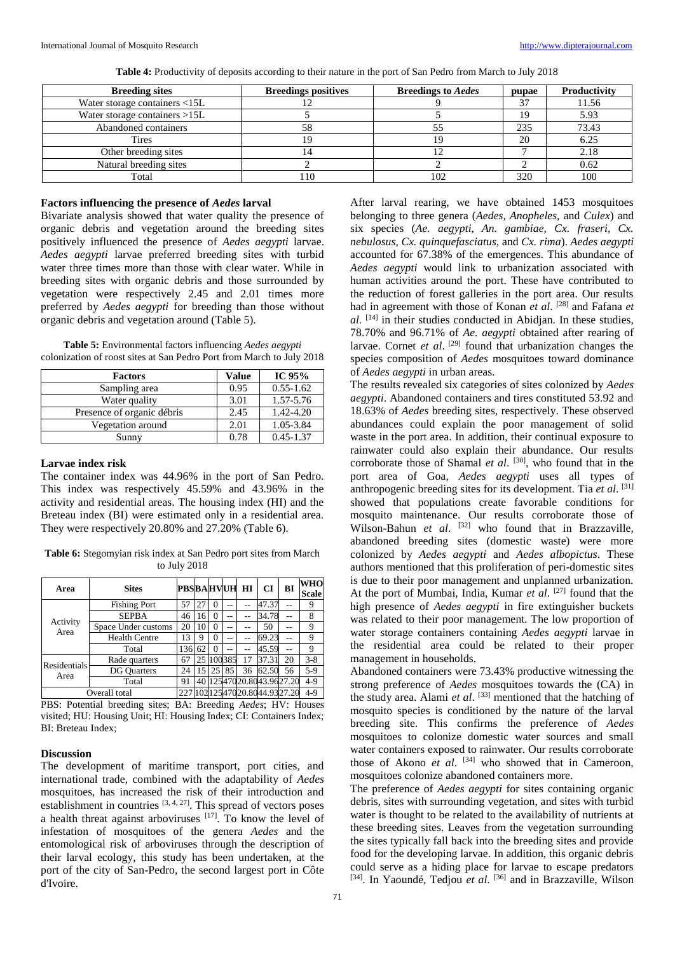| <b>Breeding sites</b>           | <b>Breedings positives</b> | <b>Breedings to Aedes</b> | pupae | Productivity |  |
|---------------------------------|----------------------------|---------------------------|-------|--------------|--|
| Water storage containers <15L   |                            |                           |       | 11.56        |  |
| Water storage containers $>15L$ |                            |                           | 10    | 5.93         |  |
| Abandoned containers            |                            |                           | 235   | 73.43        |  |
| Tires                           |                            |                           | 20    | 6.25         |  |
| Other breeding sites            |                            | ∸                         |       | 2.18         |  |
| Natural breeding sites          |                            |                           |       | 0.62         |  |
| Total                           |                            |                           | 320   | 100          |  |

**Table 4:** Productivity of deposits according to their nature in the port of San Pedro from March to July 2018

# **Factors influencing the presence of** *Aedes* **larval**

Bivariate analysis showed that water quality the presence of organic debris and vegetation around the breeding sites positively influenced the presence of *Aedes aegypti* larvae. *Aedes aegypti* larvae preferred breeding sites with turbid water three times more than those with clear water. While in breeding sites with organic debris and those surrounded by vegetation were respectively 2.45 and 2.01 times more preferred by *Aedes aegypti* for breeding than those without organic debris and vegetation around (Table 5).

**Table 5:** Environmental factors influencing *Aedes aegypti* colonization of roost sites at San Pedro Port from March to July 2018

| <b>Factors</b>             | Value | IC $95%$      |
|----------------------------|-------|---------------|
| Sampling area              | 0.95  | $0.55 - 1.62$ |
| Water quality              | 3.01  | 1.57-5.76     |
| Presence of organic débris | 2.45  | 1.42-4.20     |
| Vegetation around          | 2.01  | 1.05-3.84     |
| Sunny                      | 0.78  | $0.45 - 1.37$ |

# **Larvae index risk**

The container index was 44.96% in the port of San Pedro. This index was respectively 45.59% and 43.96% in the activity and residential areas. The housing index (HI) and the Breteau index (BI) were estimated only in a residential area. They were respectively 20.80% and 27.20% (Table 6).

**Table 6:** Stegomyian risk index at San Pedro port sites from March to July 2018

| Area                 | <b>Sites</b>         | <b>PBSBAHVUH HI</b> |    |          |        |    | CI                       | BI | WHO<br><b>Scale</b> |
|----------------------|----------------------|---------------------|----|----------|--------|----|--------------------------|----|---------------------|
| Activity<br>Area     | <b>Fishing Port</b>  |                     | 27 | $\theta$ | --     |    | 47.37                    |    | 9                   |
|                      | <b>SEPBA</b>         | 46                  | 16 | $\Omega$ | --     |    | 34.78                    | -- | 8                   |
|                      | Space Under customs  | 20                  | 10 | $\theta$ | --     |    | 50                       |    | 9                   |
|                      | <b>Health Centre</b> | 13                  | 9  | $\Omega$ | --     |    | 69.23                    | -- | 9                   |
|                      | Total                | 136                 | 62 | $\theta$ | --     |    | 45.59                    | -- | 9                   |
| Residentials<br>Area | Rade quarters        | 67                  | 25 |          | 100385 |    | 37.31                    | 20 | $3 - 8$             |
|                      | <b>DG</b> Quarters   | 24                  | 15 | 25       | 85     | 36 | 62.50                    | 56 | $5-9$               |
|                      | Total                | 91                  | 40 |          |        |    | 12547020.8043.9627.20    |    | $4-9$               |
| Overall total        |                      | 227                 |    |          |        |    | 10212547020.8044.9327.20 |    | $4-9$               |

PBS: Potential breeding sites; BA: Breeding *Aedes*; HV: Houses visited; HU: Housing Unit; HI: Housing Index; CI: Containers Index; BI: Breteau Index;

#### **Discussion**

The development of maritime transport, port cities, and international trade, combined with the adaptability of *Aedes* mosquitoes, has increased the risk of their introduction and establishment in countries <sup>[3, 4, 27]</sup>. This spread of vectors poses a health threat against arboviruses  $[17]$ . To know the level of infestation of mosquitoes of the genera *Aedes* and the entomological risk of arboviruses through the description of their larval ecology, this study has been undertaken, at the port of the city of San-Pedro, the second largest port in Côte d'Ivoire.

After larval rearing, we have obtained 1453 mosquitoes belonging to three genera (*Aedes, Anopheles,* and *Culex*) and six species (*Ae. aegypti, An. gambiae, Cx. fraseri, Cx. nebulosus, Cx. quinquefasciatus,* and *Cx. rima*). *Aedes aegypti* accounted for 67.38% of the emergences. This abundance of *Aedes aegypti* would link to urbanization associated with human activities around the port. These have contributed to the reduction of forest galleries in the port area. Our results had in agreement with those of Konan *et al*. [28] and Fafana *et al*. [14] in their studies conducted in Abidjan. In these studies, 78.70% and 96.71% of *Ae. aegypti* obtained after rearing of larvae. Cornet *et al.* <sup>[29]</sup> found that urbanization changes the species composition of *Aedes* mosquitoes toward dominance of *Aedes aegypti* in urban areas.

The results revealed six categories of sites colonized by *Aedes aegypti*. Abandoned containers and tires constituted 53.92 and 18.63% of *Aedes* breeding sites, respectively. These observed abundances could explain the poor management of solid waste in the port area. In addition, their continual exposure to rainwater could also explain their abundance. Our results corroborate those of Shamal *et al*. [30], who found that in the port area of Goa, *Aedes aegypti* uses all types of anthropogenic breeding sites for its development. Tia *et al*. [31] showed that populations create favorable conditions for mosquito maintenance. Our results corroborate those of Wilson-Bahun et al. <sup>[32]</sup> who found that in Brazzaville, abandoned breeding sites (domestic waste) were more colonized by *Aedes aegypti* and *Aedes albopictus*. These authors mentioned that this proliferation of peri-domestic sites is due to their poor management and unplanned urbanization. At the port of Mumbai, India, Kumar *et al*. [27] found that the high presence of *Aedes aegypti* in fire extinguisher buckets was related to their poor management. The low proportion of water storage containers containing *Aedes aegypti* larvae in the residential area could be related to their proper management in households.

Abandoned containers were 73.43% productive witnessing the strong preference of *Aedes* mosquitoes towards the (CA) in the study area. Alami *et al*. [33] mentioned that the hatching of mosquito species is conditioned by the nature of the larval breeding site. This confirms the preference of *Aedes* mosquitoes to colonize domestic water sources and small water containers exposed to rainwater. Our results corroborate those of Akono *et al.* <sup>[34]</sup> who showed that in Cameroon, mosquitoes colonize abandoned containers more.

The preference of *Aedes aegypti* for sites containing organic debris, sites with surrounding vegetation, and sites with turbid water is thought to be related to the availability of nutrients at these breeding sites. Leaves from the vegetation surrounding the sites typically fall back into the breeding sites and provide food for the developing larvae. In addition, this organic debris could serve as a hiding place for larvae to escape predators [34]. In Yaoundé, Tedjou *et al*. [36] and in Brazzaville, Wilson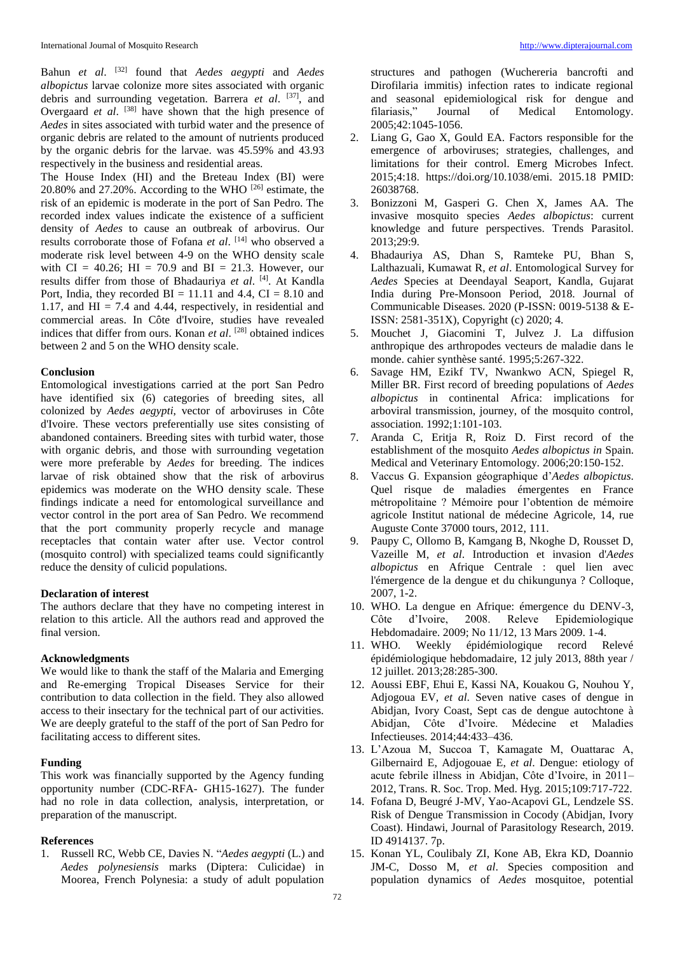Bahun *et al*. [32] found that *Aedes aegypti* and *Aedes albopictus* larvae colonize more sites associated with organic debris and surrounding vegetation. Barrera *et al*. [37], and Overgaard *et al.* <sup>[38]</sup> have shown that the high presence of *Aedes* in sites associated with turbid water and the presence of organic debris are related to the amount of nutrients produced by the organic debris for the larvae. was 45.59% and 43.93 respectively in the business and residential areas.

The House Index (HI) and the Breteau Index (BI) were 20.80% and 27.20%. According to the WHO [26] estimate, the risk of an epidemic is moderate in the port of San Pedro. The recorded index values indicate the existence of a sufficient density of *Aedes* to cause an outbreak of arbovirus. Our results corroborate those of Fofana *et al*. [14] who observed a moderate risk level between 4-9 on the WHO density scale with CI = 40.26; HI = 70.9 and BI = 21.3. However, our results differ from those of Bhadauriya *et al*. [4]. At Kandla Port, India, they recorded  $BI = 11.11$  and 4.4,  $CI = 8.10$  and 1.17, and  $HI = 7.4$  and 4.44, respectively, in residential and commercial areas. In Côte d'Ivoire, studies have revealed indices that differ from ours. Konan *et al*. [28] obtained indices between 2 and 5 on the WHO density scale.

#### **Conclusion**

Entomological investigations carried at the port San Pedro have identified six (6) categories of breeding sites, all colonized by *Aedes aegypti*, vector of arboviruses in Côte d'Ivoire. These vectors preferentially use sites consisting of abandoned containers. Breeding sites with turbid water, those with organic debris, and those with surrounding vegetation were more preferable by *Aedes* for breeding. The indices larvae of risk obtained show that the risk of arbovirus epidemics was moderate on the WHO density scale. These findings indicate a need for entomological surveillance and vector control in the port area of San Pedro. We recommend that the port community properly recycle and manage receptacles that contain water after use. Vector control (mosquito control) with specialized teams could significantly reduce the density of culicid populations.

#### **Declaration of interest**

The authors declare that they have no competing interest in relation to this article. All the authors read and approved the final version.

# **Acknowledgments**

We would like to thank the staff of the Malaria and Emerging and Re-emerging Tropical Diseases Service for their contribution to data collection in the field. They also allowed access to their insectary for the technical part of our activities. We are deeply grateful to the staff of the port of San Pedro for facilitating access to different sites.

# **Funding**

This work was financially supported by the Agency funding opportunity number (CDC-RFA- GH15-1627). The funder had no role in data collection, analysis, interpretation, or preparation of the manuscript.

#### **References**

1. Russell RC, Webb CE, Davies N. "*Aedes aegypti* (L.) and *Aedes polynesiensis* marks (Diptera: Culicidae) in Moorea, French Polynesia: a study of adult population

structures and pathogen (Wuchereria bancrofti and Dirofilaria immitis) infection rates to indicate regional and seasonal epidemiological risk for dengue and filariasis," Journal of Medical Entomology. 2005;42:1045-1056.

- 2. Liang G, Gao X, Gould EA. Factors responsible for the emergence of arboviruses; strategies, challenges, and limitations for their control. Emerg Microbes Infect. 2015;4:18. https://doi.org/10.1038/emi. 2015.18 PMID: 26038768.
- 3. Bonizzoni M, Gasperi G. Chen X, James AA. The invasive mosquito species *Aedes albopictus*: current knowledge and future perspectives. Trends Parasitol. 2013;29:9.
- 4. Bhadauriya AS, Dhan S, Ramteke PU, Bhan S, Lalthazuali, Kumawat R, *et al*. Entomological Survey for *Aedes* Species at Deendayal Seaport, Kandla, Gujarat India during Pre-Monsoon Period, 2018. Journal of Communicable Diseases. 2020 (P-ISSN: 0019-5138 & E-ISSN: 2581-351X), Copyright (c) 2020; 4.
- 5. Mouchet J, Giacomini T, Julvez J. La diffusion anthropique des arthropodes vecteurs de maladie dans le monde. cahier synthèse santé. 1995;5:267-322.
- 6. Savage HM, Ezikf TV, Nwankwo ACN, Spiegel R, Miller BR. First record of breeding populations of *Aedes albopictus* in continental Africa: implications for arboviral transmission, journey, of the mosquito control, association. 1992;1:101-103.
- 7. Aranda C, Eritja R, Roiz D. First record of the establishment of the mosquito *Aedes albopictus in* Spain. Medical and Veterinary Entomology. 2006;20:150-152.
- 8. Vaccus G. Expansion géographique d'*Aedes albopictus*. Quel risque de maladies émergentes en France métropolitaine ? Mémoire pour l'obtention de mémoire agricole Institut national de médecine Agricole, 14, rue Auguste Conte 37000 tours, 2012, 111.
- 9. Paupy C, Ollomo B, Kamgang B, Nkoghe D, Rousset D, Vazeille M, *et al*. Introduction et invasion d'*Aedes albopictus* en Afrique Centrale : quel lien avec l'émergence de la dengue et du chikungunya ? Colloque, 2007, 1-2.
- 10. WHO. La dengue en Afrique: émergence du DENV-3, Côte d'Ivoire, 2008. Releve Epidemiologique Hebdomadaire. 2009; No 11/12, 13 Mars 2009. 1-4.
- 11. WHO. Weekly épidémiologique record Relevé épidémiologique hebdomadaire, 12 july 2013, 88th year / 12 juillet. 2013;28:285-300.
- 12. Aoussi EBF, Ehui E, Kassi NA, Kouakou G, Nouhou Y, Adjogoua EV, *et al*. Seven native cases of dengue in Abidjan, Ivory Coast, Sept cas de dengue autochtone à Abidjan, Côte d'Ivoire. Médecine et Maladies Infectieuses. 2014;44:433–436*.*
- 13. L'Azoua M, Succoa T, Kamagate M, Ouattarac A, Gilbernaird E, Adjogouae E, *et al*. Dengue: etiology of acute febrile illness in Abidjan, Côte d'Ivoire, in 2011– 2012, Trans. R. Soc. Trop. Med. Hyg. 2015;109:717-722.
- 14. Fofana D, Beugré J-MV, Yao-Acapovi GL, Lendzele SS. Risk of Dengue Transmission in Cocody (Abidjan, Ivory Coast). Hindawi, Journal of Parasitology Research, 2019. ID 4914137. 7p.
- 15. Konan YL, Coulibaly ZI, Kone AB, Ekra KD, Doannio JM-C, Dosso M, *et al*. Species composition and population dynamics of *Aedes* mosquitoe, potential